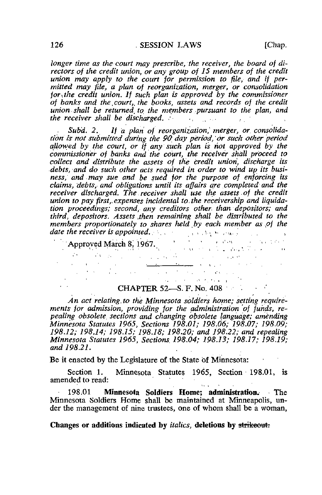longer time as the court may prescribe, the receiver, the board of directors of the credit union, or any group of IS members of the credit union may apply to the court for permission to file, and if permitted may file, a plan of reorganization, merger, or consolidation for the credit union. If such plan is approved by the commissioner of banks and the court, the books, assets and records of the credit union shall be returned to the members pursuant to the plan, and the receiver shall be discharged.  $\mathcal{L}$ 

Subd. 2. If a plan of reorganization, merger, or consolidation is not submitted during the 90 day period,' or such other period allowed by the court, or if any such plan is not approved by the commissioner of banks and the court, the receiver shall proceed to collect and distribute the assets of the credit union, discharge its debts, and do such other acts required in order to wind up its business, and may sue and be sued for the purpose of enforcing its claims, debts, and obligations until its affairs are completed and the receiver discharged. The receiver shall use the assets of the credit union to pay first, expenses incidental to the receivership and liquidation proceedings; second, any creditors other than depositors; and third, depositors. Assets then remaining shall be distributed to the members proportionately to shares held by each member as  $of$  the date the receiver is appointed.<br> $\therefore$ ,  $\therefore$ ,  $\therefore$ ,  $\therefore$ ,  $\therefore$ ,  $\therefore$ ,  $\therefore$ ,  $\therefore$ ,  $\therefore$ ,  $\therefore$ ,  $\therefore$ ,  $\therefore$ ,  $\therefore$ ,  $\therefore$ ,  $\therefore$ ,  $\therefore$ ,  $\therefore$ ,  $\therefore$ ,  $\therefore$ ,  $\therefore$ ,  $\therefore$ ,  $\therefore$ ,  $\therefore$ ,  $\therefore$ ,  $\therefore$ ,  $\therefore$ ,  $\therefore$ , **Contract Administration** 

 $\blacksquare$  Approved March 8, 1967.

## CHAPTER 52—S.'F. No. 408 •

and the company of the company of the company of the company of the company of the company of the company of the company of the company of the company of the company of the company of the company of the company of the comp

An act relating to the Minnesota soldiers home: setting requirements for admission, providing for the administration of funds, repealing obsolete sections and changing obsolete language; amending Minnesota Statutes 1965, Sections 198.02; 198.06; 198.07; 198.09; 198.12; 198.14; 198.15; 198.18; 198.20; and 198.22; and repealing Minnesota Statutes 1965, Sections, 198.04; 198.13; 198.17; 198.19; and 198.21.

Be it enacted by the Legislature of the State of Minnesota:

Section 1. Minnesota Statutes 1965, Section 198.01, is amended to read: '

198.01 Minnesota Soldiers Home; administration. The Minnesota Soldiers Home shall be maintained at Minneapolis, under the management of nine trustees, one of whom shall be a woman,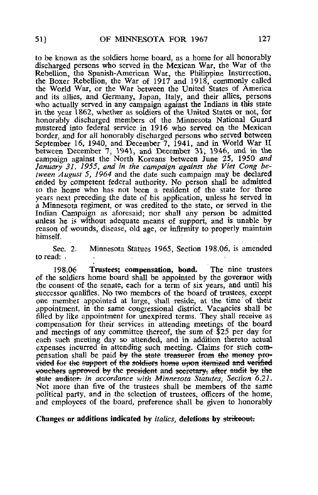to be known as the soldiers home board, as a home for all honorably discharged persons who served in the Mexican War, the War of the Rebellion, the Spanish-American War, the Philippine Insurrection, the Boxer Rebellion, the War of 1917 and 1918, commonly called the World War, or the War between the United States of America and its allies, and Germany, Japan, Italy, and their allies, persons who actually served in any campaign against the Indians in this state in the year 1862, whether as soldiers of the United States or not, for honorably discharged members of the Minnesota National Guard mustered into federal service in 1916 who served on the Mexican border, and for all honorably discharged persons who served between September 16, 1940, and December 7, 1941, and in World War II between December 1, 1941, and December 31, 1946, and in the campaign against the North Koreans between June 25, 1950 and January 31, 1955, and in the campaign against the Viet Cong between August 5, 1964 and the date such campaign may be declared ended by competent federal authority. No person shall be admitted to the home who has not been a resident of the state for three years next preceding the date of his application, unless he served in a Minnesota regiment, or was credited to the state, or served in the Indian Campaign as aforesaid; nor shall any person be admitted unless he is without adequate means of support, and is unable by reason of wounds, disease, old age, or infirmity to properly maintain himself.

Sec. 2: Minnesota Statues 1965, Section 198.06, is amended to read: . .

198.06 Trustees; compensation, bond. The nine trustees of the soldiers home board shall be appointed by the governor with the consent of the senate, each for a term of six years, and until his successor qualifies. No two members of the board of trustees, except one member appointed at large, shall reside, at the time' of their appointment, in the same congressional district. Vacancies shall be filled by like appointment for unexpired terms. They shall receive as compensation for their services in attending meetings of the board and meetings of any committee thereof, the sum of \$25 per day for each such meeting day so attended, and in addition thereto actual expenses incurred in attending such meeting. Claims for such compensation shall be paid by the state treasurer from the money provided for the support of the soldiers home upon itemized and verified vouchers approved by the president and secretary; after audit by the state auditor: in accordance with Minnesota Statutes, Section 6.21. Not more than five of the trustees shall be members of the same political party, and in the selection of trustees, officers of the home, and employees of the board, preference shall be given to honorably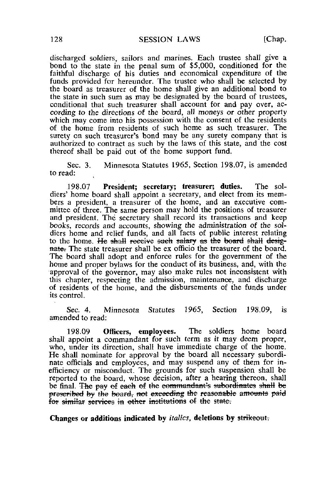discharged soldiers, sailors and marines. Each trustee shall give a bond to the state in the penal sum of \$5,000, conditioned for the faithful discharge of his duties and economical expenditure of the funds provided for hereunder. The trustee who shall be selected by the board as treasurer of the home shall give an additional bond to the state in such sum as may be designated by the board of trustees, conditional that such treasurer shall account for and pay over, according to the directions of the board, all moneys or other property which may come into his possession with the consent of the residents of the home from residents of such home as such treasurer. The surety on such treasurer's bond may be any surety company that is authorized to contract as such by the laws of this state, and the cost thereof shall be paid out of the home support fund.

Sec. 3. Minnesota Statutes 1965, Section 198.07, is amended to read:

198.07 President; secretary; treasurer; duties. The soldiers' home board shall appoint a secretary, and elect from its members a president, a treasurer of the home, and an executive committee of three. The same person may hold the positions of treasurer and president. The secretary shall record its transactions and keep books, records and accounts, showing the administration of the soldiers home and relief funds, and all facts of public interest relating to the home. He shall receive such salary as the board shall designate. The state treasurer shall be ex officio the treasurer of the board. The board shall adopt and enforce rules for the government of the home and proper bylaws for the conduct of its business, and, with the approval of the governor, may also make rules not inconsistent with this chapter, respecting the admission, maintenance, and discharge of residents of the home, and the disbursements of the funds under its control.

Sec. 4. Minnesota Statutes 1965, Section 198.09, is amended to read:

198.09 Officers, employees. The soldiers home board shall appoint a commandant for such term as it may deem proper, who, under its direction, shall have immediate charge of the home. He shall nominate for approval by the board all necessary subordinate officials and employees, and may suspend any of them for inefficiency or misconduct. The grounds for such suspension shall be reported to the board, whose decision, after a hearing thereon, shall be final. The pay of each of the commandant's subordinates shall be prescribed by the board, not exceeding the reasonable amounts paid for similar services in other institutions of the state.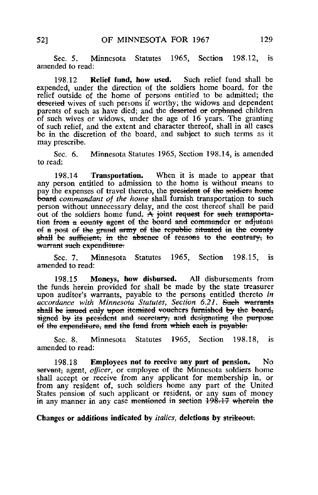Sec. 5. Minnesota Statutes 1965, Section 198.12, is amended to read:

198.12 Relief fund, bow used. Such relief fund shall be expended, under the direction of the soldiers home board, for the relief outside of the home of persons entitled to be admitted; the deserted wives of such persons if worthy; the widows and dependent parents of such as have died; and the deserted or orphaned children of such wives or widows, under the age of 16 years. The granting of such relief, and the extent and character thereof, shall in all cases be in the discretion of the board, and subject to such terms as it may prescribe.

Sec. 6. Minnesota Statutes 1965, Section 198.14, is amended to read:

198.14 Transportation. When it is made to appear that any person entitled to admission to the home is without means to pay the expenses of travel thereto, the president of the soldiers home beard commandant of the home shall furnish transportation to such person without unnecessary delay, and the cost thereof shall be paid out of the soldiers home fund. A joint request for such transportation from a county agent of the board and commander or adjutant  $of a post of the grand army of the republic situated in the country$ shall be sufficient, in the absence of reasons to the contrary, to warrant such expenditure.

Sec. 7. Minnesota Statutes 1965, Section 198.15, is amended to read:

198.15 Moneys, how disbursed. All disbursements from the funds herein provided for shall be made by the state treasurer upon auditor's warrants, payable to the persons entitled thereto in accordance with Minnesota Statutes, Section 6.21. Such warrants shall be issued only upon itemized vouchers furnished by the board, signed by its president and secretary; and designating the purpose of the expenditure, and the fund from which each is payable.

Sec. 8. Minnesota Statutes 1965, Section 198.18, is amended to read:

198.18 Employees not to receive any part of pension. No servant, agent, officer, or employee of the Minnesota soldiers home shall accept or receive from any applicant for membership in, or from any resident of, such soldiers home any part of the United States pension of such applicant or resident, or any sum of money in any manner in any case mentioned in section 198.17 wherein the